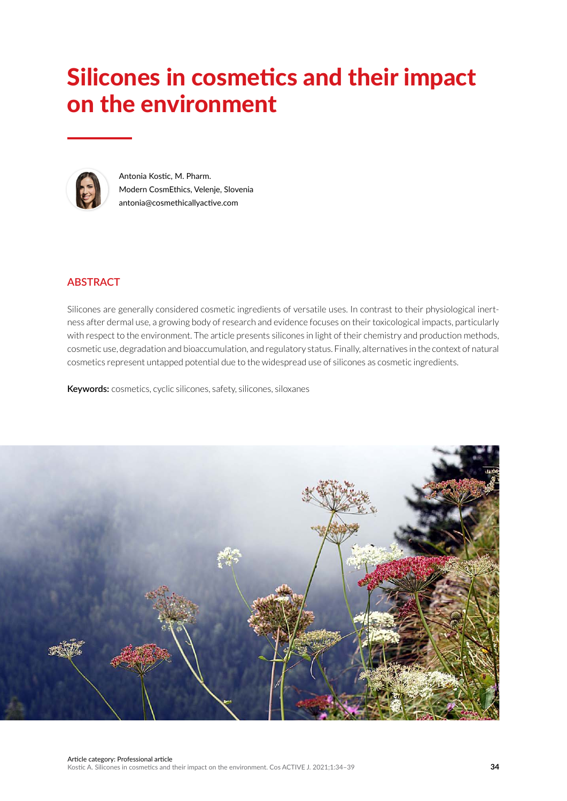# Silicones in cosmetics and their impact on the environment



Antonia Kostic, M. Pharm. Modern CosmEthics, Velenje, Slovenia antonia@cosmethicallyactive.com

# **ABSTRACT**

Silicones are generally considered cosmetic ingredients of versatile uses. In contrast to their physiological inertness after dermal use, a growing body of research and evidence focuses on their toxicological impacts, particularly with respect to the environment. The article presents silicones in light of their chemistry and production methods, cosmetic use, degradation and bioaccumulation, and regulatory status. Finally, alternatives in the context of natural cosmetics represent untapped potential due to the widespread use of silicones as cosmetic ingredients.

**Keywords:** cosmetics, cyclic silicones, safety, silicones, siloxanes

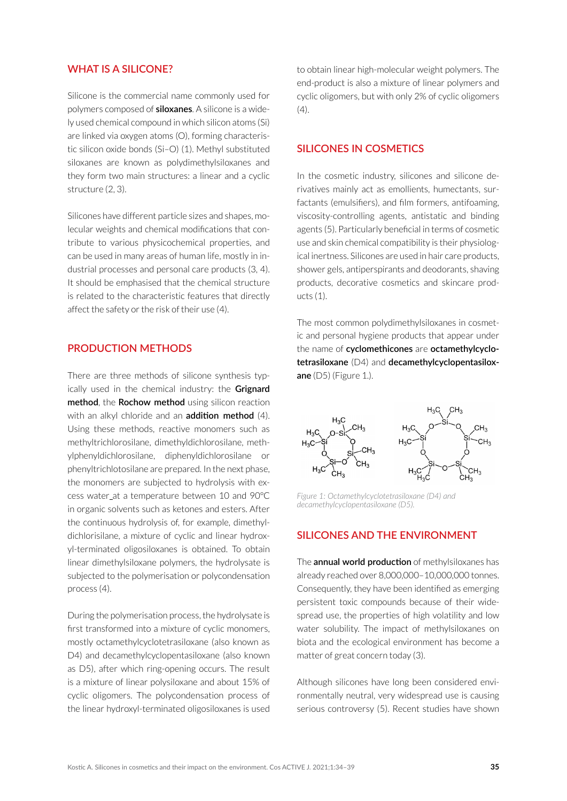## **WHAT IS A SILICONE?**

Silicone is the commercial name commonly used for polymers composed of **siloxanes**. A silicone is a widely used chemical compound in which silicon atoms (Si) are linked via oxygen atoms (O), forming characteristic silicon oxide bonds (Si–O) (1). Methyl substituted siloxanes are known as polydimethylsiloxanes and they form two main structures: a linear and a cyclic structure (2, 3).

Silicones have different particle sizes and shapes, molecular weights and chemical modifications that contribute to various physicochemical properties, and can be used in many areas of human life, mostly in industrial processes and personal care products (3, 4). It should be emphasised that the chemical structure is related to the characteristic features that directly affect the safety or the risk of their use (4).

## **PRODUCTION METHODS**

There are three methods of silicone synthesis typically used in the chemical industry: the **Grignard method**, the **Rochow method** using silicon reaction with an alkyl chloride and an **addition method** (4). Using these methods, reactive monomers such as methyltrichlorosilane, dimethyldichlorosilane, methylphenyldichlorosilane, diphenyldichlorosilane or phenyltrichlotosilane are prepared. In the next phase, the monomers are subjected to hydrolysis with excess water at a temperature between 10 and 90°C in organic solvents such as ketones and esters. After the continuous hydrolysis of, for example, dimethyldichlorisilane, a mixture of cyclic and linear hydroxyl-terminated oligosiloxanes is obtained. To obtain linear dimethylsiloxane polymers, the hydrolysate is subjected to the polymerisation or polycondensation process (4).

During the polymerisation process, the hydrolysate is first transformed into a mixture of cyclic monomers, mostly octamethylcyclotetrasiloxane (also known as D4) and decamethylcyclopentasiloxane (also known as D5), after which ring-opening occurs. The result is a mixture of linear polysiloxane and about 15% of cyclic oligomers. The polycondensation process of the linear hydroxyl-terminated oligosiloxanes is used to obtain linear high-molecular weight polymers. The end-product is also a mixture of linear polymers and cyclic oligomers, but with only 2% of cyclic oligomers  $(4).$ 

#### **SILICONES IN COSMETICS**

In the cosmetic industry, silicones and silicone derivatives mainly act as emollients, humectants, surfactants (emulsifiers), and film formers, antifoaming, viscosity-controlling agents, antistatic and binding agents (5). Particularly beneficial in terms of cosmetic use and skin chemical compatibility is their physiological inertness. Silicones are used in hair care products, shower gels, antiperspirants and deodorants, shaving products, decorative cosmetics and skincare products (1).

The most common polydimethylsiloxanes in cosmetic and personal hygiene products that appear under the name of **cyclomethicones** are **octamethylcyclotetrasiloxane** (D4) and **decamethylcyclopentasiloxane** (D5) (Figure 1.).



*Figure 1: Octamethylcyclotetrasiloxane (D4) and decamethylcyclopentasiloxane (D5).*

#### **SILICONES AND THE ENVIRONMENT**

The **annual world production** of methylsiloxanes has already reached over 8,000,000–10,000,000 tonnes. Consequently, they have been identified as emerging persistent toxic compounds because of their widespread use, the properties of high volatility and low water solubility. The impact of methylsiloxanes on biota and the ecological environment has become a matter of great concern today (3).

Although silicones have long been considered environmentally neutral, very widespread use is causing serious controversy (5). Recent studies have shown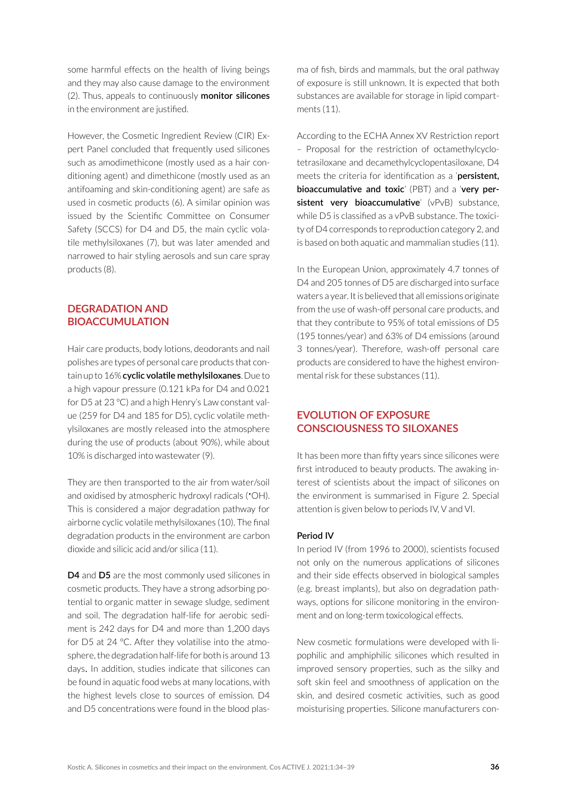some harmful effects on the health of living beings and they may also cause damage to the environment (2). Thus, appeals to continuously **monitor silicones** in the environment are justified.

However, the Cosmetic Ingredient Review (CIR) Expert Panel concluded that frequently used silicones such as amodimethicone (mostly used as a hair conditioning agent) and dimethicone (mostly used as an antifoaming and skin-conditioning agent) are safe as used in cosmetic products (6). A similar opinion was issued by the Scientific Committee on Consumer Safety (SCCS) for D4 and D5, the main cyclic volatile methylsiloxanes (7), but was later amended and narrowed to hair styling aerosols and sun care spray products (8).

# **DEGRADATION AND BIOACCUMULATION**

Hair care products, body lotions, deodorants and nail polishes are types of personal care products that contain up to 16% **cyclic volatile methylsiloxanes**. Due to a high vapour pressure (0.121 kPa for D4 and 0.021 for D5 at 23 °C) and a high Henry's Law constant value (259 for D4 and 185 for D5), cyclic volatile methylsiloxanes are mostly released into the atmosphere during the use of products (about 90%), while about 10% is discharged into wastewater (9).

They are then transported to the air from water/soil and oxidised by atmospheric hydroxyl radicals (•OH). This is considered a major degradation pathway for airborne cyclic volatile methylsiloxanes (10). The final degradation products in the environment are carbon dioxide and silicic acid and/or silica (11).

**D4** and **D5** are the most commonly used silicones in cosmetic products. They have a strong adsorbing potential to organic matter in sewage sludge, sediment and soil. The degradation half-life for aerobic sediment is 242 days for D4 and more than 1,200 days for D5 at 24 °C. After they volatilise into the atmosphere, the degradation half-life for both is around 13 days. In addition, studies indicate that silicones can be found in aquatic food webs at many locations, with the highest levels close to sources of emission. D4 and D5 concentrations were found in the blood plasma of fish, birds and mammals, but the oral pathway of exposure is still unknown. It is expected that both substances are available for storage in lipid compartments (11).

According to the ECHA Annex XV Restriction report – Proposal for the restriction of octamethylcyclotetrasiloxane and decamethylcyclopentasiloxane, D4 meets the criteria for identification as a '**persistent, bioaccumulative and toxic**' (PBT) and a '**very persistent very bioaccumulative**' (vPvB) substance, while D5 is classified as a vPvB substance. The toxicity of D4 corresponds to reproduction category 2, and is based on both aquatic and mammalian studies (11).

In the European Union, approximately 4.7 tonnes of D4 and 205 tonnes of D5 are discharged into surface waters a year. It is believed that all emissions originate from the use of wash-off personal care products, and that they contribute to 95% of total emissions of D5 (195 tonnes/year) and 63% of D4 emissions (around 3 tonnes/year). Therefore, wash-off personal care products are considered to have the highest environmental risk for these substances (11).

# **EVOLUTION OF EXPOSURE CONSCIOUSNESS TO SILOXANES**

It has been more than fifty years since silicones were first introduced to beauty products. The awaking interest of scientists about the impact of silicones on the environment is summarised in Figure 2. Special attention is given below to periods IV, V and VI.

#### **Period IV**

In period IV (from 1996 to 2000), scientists focused not only on the numerous applications of silicones and their side effects observed in biological samples (e.g. breast implants), but also on degradation pathways, options for silicone monitoring in the environment and on long-term toxicological effects.

New cosmetic formulations were developed with lipophilic and amphiphilic silicones which resulted in improved sensory properties, such as the silky and soft skin feel and smoothness of application on the skin, and desired cosmetic activities, such as good moisturising properties. Silicone manufacturers con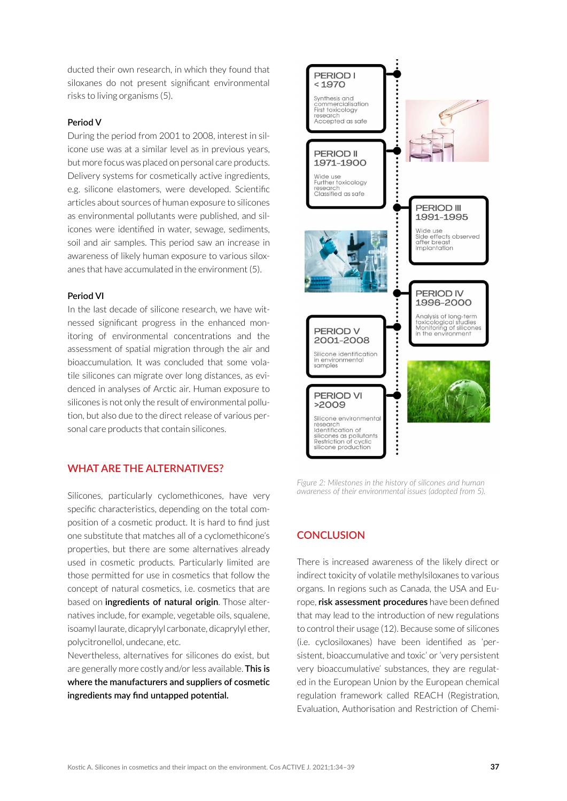ducted their own research, in which they found that siloxanes do not present significant environmental risks to living organisms (5).

#### **Period V**

During the period from 2001 to 2008, interest in silicone use was at a similar level as in previous years, but more focus was placed on personal care products. Delivery systems for cosmetically active ingredients, e.g. silicone elastomers, were developed. Scientific articles about sources of human exposure to silicones as environmental pollutants were published, and silicones were identified in water, sewage, sediments, soil and air samples. This period saw an increase in awareness of likely human exposure to various siloxanes that have accumulated in the environment (5).

#### **Period VI**

In the last decade of silicone research, we have witnessed significant progress in the enhanced monitoring of environmental concentrations and the assessment of spatial migration through the air and bioaccumulation. It was concluded that some volatile silicones can migrate over long distances, as evidenced in analyses of Arctic air. Human exposure to silicones is not only the result of environmental pollution, but also due to the direct release of various personal care products that contain silicones.

### **WHAT ARE THE ALTERNATIVES?**

Silicones, particularly cyclomethicones, have very specific characteristics, depending on the total composition of a cosmetic product. It is hard to find just one substitute that matches all of a cyclomethicone's properties, but there are some alternatives already used in cosmetic products. Particularly limited are those permitted for use in cosmetics that follow the concept of natural cosmetics, i.e. cosmetics that are based on **ingredients of natural origin**. Those alternatives include, for example, vegetable oils, squalene, isoamyl laurate, dicaprylyl carbonate, dicaprylyl ether, polycitronellol, undecane, etc.

Nevertheless, alternatives for silicones do exist, but are generally more costly and/or less available. **This is where the manufacturers and suppliers of cosmetic ingredients may find untapped potential.**



*Figure 2: Milestones in the history of silicones and human awareness of their environmental issues (adopted from 5).*

## **CONCLUSION**

There is increased awareness of the likely direct or indirect toxicity of volatile methylsiloxanes to various organs. In regions such as Canada, the USA and Europe, **risk assessment procedures** have been defined that may lead to the introduction of new regulations to control their usage (12). Because some of silicones (i.e. cyclosiloxanes) have been identified as 'persistent, bioaccumulative and toxic' or 'very persistent very bioaccumulative' substances, they are regulated in the European Union by the European chemical regulation framework called REACH (Registration, Evaluation, Authorisation and Restriction of Chemi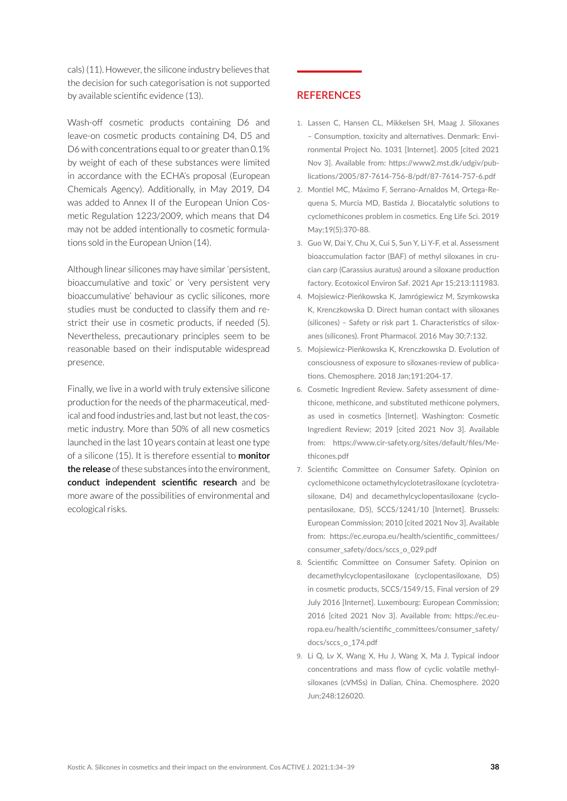cals) (11). However, the silicone industry believes that the decision for such categorisation is not supported by available scientific evidence (13).

Wash-off cosmetic products containing D6 and leave-on cosmetic products containing D4, D5 and D6 with concentrations equal to or greater than 0.1% by weight of each of these substances were limited in accordance with the ECHA's proposal (European Chemicals Agency). Additionally, in May 2019, D4 was added to Annex II of the European Union Cosmetic Regulation 1223/2009, which means that D4 may not be added intentionally to cosmetic formulations sold in the European Union (14).

Although linear silicones may have similar 'persistent, bioaccumulative and toxic' or 'very persistent very bioaccumulative' behaviour as cyclic silicones, more studies must be conducted to classify them and restrict their use in cosmetic products, if needed (5). Nevertheless, precautionary principles seem to be reasonable based on their indisputable widespread presence.

Finally, we live in a world with truly extensive silicone production for the needs of the pharmaceutical, medical and food industries and, last but not least, the cosmetic industry. More than 50% of all new cosmetics launched in the last 10 years contain at least one type of a silicone (15). It is therefore essential to **monitor the release** of these substances into the environment, **conduct independent scientific research** and be more aware of the possibilities of environmental and ecological risks.

#### **REFERENCES**

- 1. Lassen C, Hansen CL, Mikkelsen SH, Maag J. Siloxanes – Consumption, toxicity and alternatives. Denmark: Environmental Project No. 1031 [Internet]. 2005 [cited 2021 Nov 3]. Available from: [https://www2.mst.dk/udgiv/pub](https://www2.mst.dk/udgiv/publications/2005/87-7614-756-8/pdf/87-7614-757-6.pdf)[lications/2005/87-7614-756-8/pdf/87-7614-757-6.pdf](https://www2.mst.dk/udgiv/publications/2005/87-7614-756-8/pdf/87-7614-757-6.pdf)
- 2. Montiel MC, Máximo F, Serrano‐Arnaldos M, Ortega‐Requena S, Murcia MD, Bastida J. Biocatalytic solutions to cyclomethicones problem in cosmetics. Eng Life Sci. 2019 May;19(5):370-88.
- 3. Guo W, Dai Y, Chu X, Cui S, Sun Y, Li Y-F, et al. Assessment bioaccumulation factor (BAF) of methyl siloxanes in crucian carp (Carassius auratus) around a siloxane production factory. Ecotoxicol Environ Saf. 2021 Apr 15;213:111983.
- 4. Mojsiewicz-Pieńkowska K, Jamrógiewicz M, Szymkowska K, Krenczkowska D. Direct human contact with siloxanes (silicones) – Safety or risk part 1. Characteristics of siloxanes (silicones). Front Pharmacol. 2016 May 30;7:132.
- 5. Mojsiewicz-Pieńkowska K, Krenczkowska D. Evolution of consciousness of exposure to siloxanes-review of publications. Chemosphere. 2018 Jan;191:204-17.
- 6. Cosmetic Ingredient Review. Safety assessment of dimethicone, methicone, and substituted methicone polymers, as used in cosmetics [Internet]. Washington: Cosmetic Ingredient Review; 2019 [cited 2021 Nov 3]. Available from: https://www.cir-safety.org/sites/default/files/Methicones.pdf
- 7. Scientific Committee on Consumer Safety. Opinion on cyclomethicone octamethylcyclotetrasiloxane (cyclotetrasiloxane, D4) and decamethylcyclopentasiloxane (cyclopentasiloxane, D5), SCCS/1241/10 [Internet]. Brussels: European Commission; 2010 [cited 2021 Nov 3]. Available from: [https://ec.europa.eu/health/scientific\\_committees/](https://ec.europa.eu/health/scientific_committees/consumer_safety/docs/sccs_o_029.pdf) [consumer\\_safety/docs/sccs\\_o\\_029.pdf](https://ec.europa.eu/health/scientific_committees/consumer_safety/docs/sccs_o_029.pdf)
- 8. Scientific Committee on Consumer Safety. Opinion on decamethylcyclopentasiloxane (cyclopentasiloxane, D5) in cosmetic products, SCCS/1549/15, Final version of 29 July 2016 [Internet]. Luxembourg: European Commission; 2016 [cited 2021 Nov 3]. Available from: [https://ec.eu](https://ec.europa.eu/health/scientific_committees/consumer_safety/docs/sccs_o_174.pdf)[ropa.eu/health/scientific\\_committees/consumer\\_safety/](https://ec.europa.eu/health/scientific_committees/consumer_safety/docs/sccs_o_174.pdf) [docs/sccs\\_o\\_174.pdf](https://ec.europa.eu/health/scientific_committees/consumer_safety/docs/sccs_o_174.pdf)
- 9. Li Q, Lv X, Wang X, Hu J, Wang X, Ma J. Typical indoor concentrations and mass flow of cyclic volatile methylsiloxanes (cVMSs) in Dalian, China. Chemosphere. 2020 Jun;248:126020.